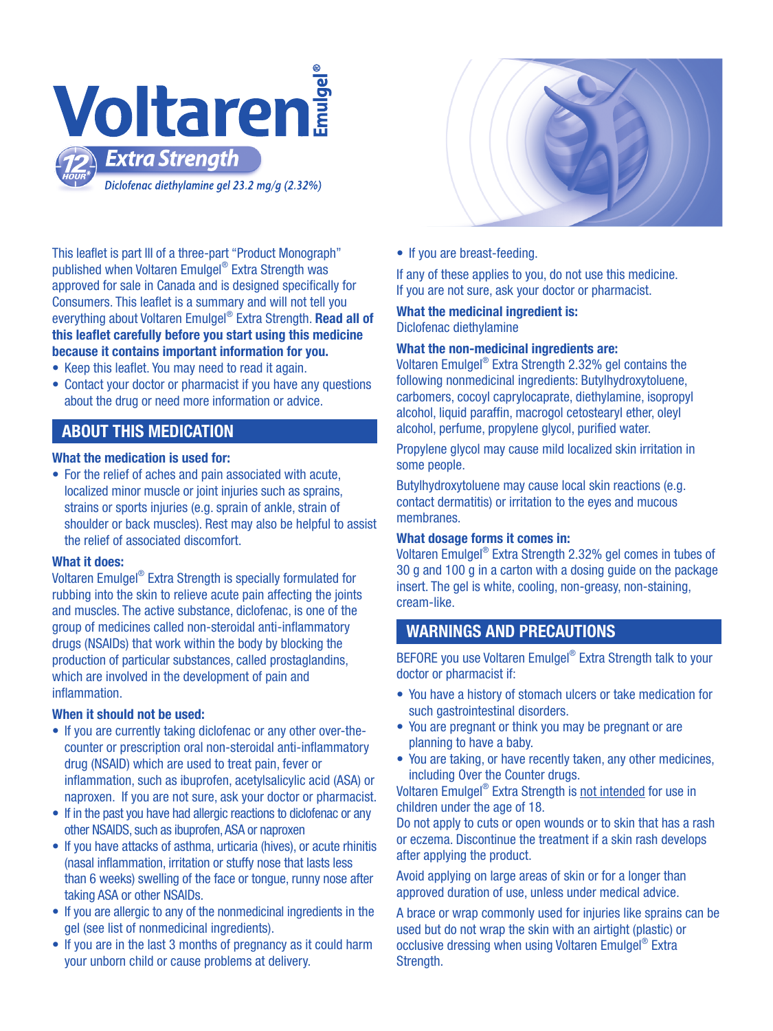

This leaflet is part III of a three-part "Product Monograph" published when Voltaren Emulgel® Extra Strength was approved for sale in Canada and is designed specifically for Consumers. This leaflet is a summary and will not tell you everything about Voltaren Emulgel® Extra Strength. Read all of this leaflet carefully before you start using this medicine because it contains important information for you.

- Keep this leaflet. You may need to read it again.
- Contact your doctor or pharmacist if you have any questions about the drug or need more information or advice.

## ABOUT THIS MEDICATION

#### What the medication is used for:

• For the relief of aches and pain associated with acute, localized minor muscle or joint injuries such as sprains. strains or sports injuries (e.g. sprain of ankle, strain of shoulder or back muscles). Rest may also be helpful to assist the relief of associated discomfort.

#### What it does:

 and muscles. The active substance, diclofenac, is one of the drugs (NSAIDs) that work within the body by blocking the production of particular substances, called prostaglandins, Voltaren Emulgel® Extra Strength is specially formulated for rubbing into the skin to relieve acute pain affecting the joints group of medicines called non-steroidal anti-inflammatory which are involved in the development of pain and inflammation.

#### When it should not be used:

- If you are currently taking diclofenac or any other over-thecounter or prescription oral non-steroidal anti-inflammatory drug (NSAID) which are used to treat pain, fever or inflammation, such as ibuprofen, acetylsalicylic acid (ASA) or naproxen. If you are not sure, ask your doctor or pharmacist.
- If in the past you have had allergic reactions to diclofenac or any other NSAIDS, such as ibuprofen, ASA or naproxen
- If you have attacks of asthma, urticaria (hives), or acute rhinitis (nasal inflammation, irritation or stuffy nose that lasts less than 6 weeks) swelling of the face or tongue, runny nose after taking ASA or other NSAIDs.
- If you are allergic to any of the nonmedicinal ingredients in the gel (see list of nonmedicinal ingredients).
- If you are in the last 3 months of pregnancy as it could harm your unborn child or cause problems at delivery.
- 
- If you are breast-feeding.

If any of these applies to you, do not use this medicine. If you are not sure, ask your doctor or pharmacist.

What the medicinal ingredient is: Diclofenac diethylamine

#### What the non-medicinal ingredients are:

Voltaren Emulgel® Extra Strength 2.32% gel contains the following nonmedicinal ingredients: Butylhydroxytoluene, carbomers, cocoyl caprylocaprate, diethylamine, isopropyl alcohol, liquid paraffin, macrogol cetostearyl ether, oleyl alcohol, perfume, propylene glycol, purified water.

Propylene glycol may cause mild localized skin irritation in some people.

Butylhydroxytoluene may cause local skin reactions (e.g. contact dermatitis) or irritation to the eyes and mucous membranes.

#### What dosage forms it comes in:

Voltaren Emulgel® Extra Strength 2.32% gel comes in tubes of 30 g and 100 g in a carton with a dosing guide on the package insert. The gel is white, cooling, non-greasy, non-staining, cream-like.

### WARNINGS AND PRECAUTIONS

BEFORE you use Voltaren Emulgel® Extra Strength talk to your doctor or pharmacist if:

- You have a history of stomach ulcers or take medication for such gastrointestinal disorders.
- You are pregnant or think you may be pregnant or are planning to have a baby.
- You are taking, or have recently taken, any other medicines, including Over the Counter drugs.

Voltaren Emulgel® Extra Strength is not intended for use in children under the age of 18.

Do not apply to cuts or open wounds or to skin that has a rash or eczema. Discontinue the treatment if a skin rash develops after applying the product.

Avoid applying on large areas of skin or for a longer than approved duration of use, unless under medical advice.

A brace or wrap commonly used for injuries like sprains can be used but do not wrap the skin with an airtight (plastic) or occlusive dressing when using Voltaren Emulgel® Extra Strength.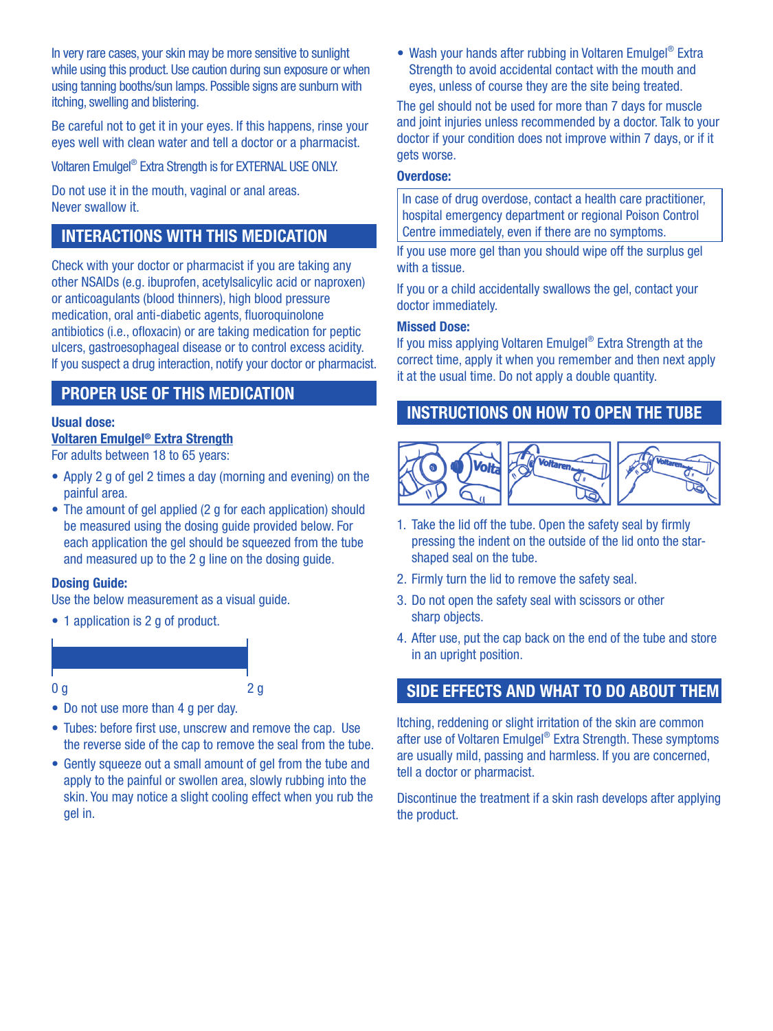In very rare cases, your skin may be more sensitive to sunlight while using this product. Use caution during sun exposure or when using tanning booths/sun lamps. Possible signs are sunburn with itching, swelling and blistering.

Be careful not to get it in your eyes. If this happens, rinse your eyes well with clean water and tell a doctor or a pharmacist.

Voltaren Emulgel® Extra Strength is for EXTERNAL USE ONLY.

Do not use it in the mouth, vaginal or anal areas. Never swallow it.

# INTERACTIONS WITH THIS MEDICATION

 ulcers, gastroesophageal disease or to control excess acidity. Check with your doctor or pharmacist if you are taking any other NSAIDs (e.g. ibuprofen, acetylsalicylic acid or naproxen) or anticoagulants (blood thinners), high blood pressure medication, oral anti-diabetic agents, fluoroquinolone antibiotics (i.e., ofloxacin) or are taking medication for peptic If you suspect a drug interaction, notify your doctor or pharmacist.

## PROPER USE OF THIS MEDICATION

#### Usual dose:

### Voltaren Emulgel® Extra Strength

For adults between 18 to 65 years:

- Apply 2 g of gel 2 times a day (morning and evening) on the painful area.
- The amount of gel applied (2 g for each application) should be measured using the dosing guide provided below. For each application the gel should be squeezed from the tube and measured up to the 2 g line on the dosing quide.

#### Dosing Guide:

Use the below measurement as a visual guide.

• 1 application is 2 q of product.

#### $0 g$  2 g

- Do not use more than 4 g per day.
- Tubes: before first use, unscrew and remove the cap. Use the reverse side of the cap to remove the seal from the tube.
- Gently squeeze out a small amount of gel from the tube and apply to the painful or swollen area, slowly rubbing into the skin. You may notice a slight cooling effect when you rub the gel in.

• Wash your hands after rubbing in Voltaren Emulgel<sup>®</sup> Extra Strength to avoid accidental contact with the mouth and eyes, unless of course they are the site being treated.

The gel should not be used for more than 7 days for muscle and joint injuries unless recommended by a doctor. Talk to your doctor if your condition does not improve within 7 days, or if it gets worse.

#### Overdose:

In case of drug overdose, contact a health care practitioner, hospital emergency department or regional Poison Control Centre immediately, even if there are no symptoms.

If you use more gel than you should wipe off the surplus gel with a tissue.

If you or a child accidentally swallows the gel, contact your doctor immediately.

#### Missed Dose:

If you miss applying Voltaren Emulgel® Extra Strength at the correct time, apply it when you remember and then next apply it at the usual time. Do not apply a double quantity.

### INSTRUCTIONS ON HOW TO OPEN THE TUBE



- 1. Take the lid off the tube. Open the safety seal by firmly pressing the indent on the outside of the lid onto the starshaped seal on the tube.
- 2. Firmly turn the lid to remove the safety seal.
- 3. Do not open the safety seal with scissors or other sharp objects.
- 4. After use, put the cap back on the end of the tube and store in an upright position.

# SIDE EFFECTS AND WHAT TO DO ABOUT THEM

Itching, reddening or slight irritation of the skin are common after use of Voltaren Emulgel® Extra Strength. These symptoms are usually mild, passing and harmless. If you are concerned, tell a doctor or pharmacist.

Discontinue the treatment if a skin rash develops after applying the product.